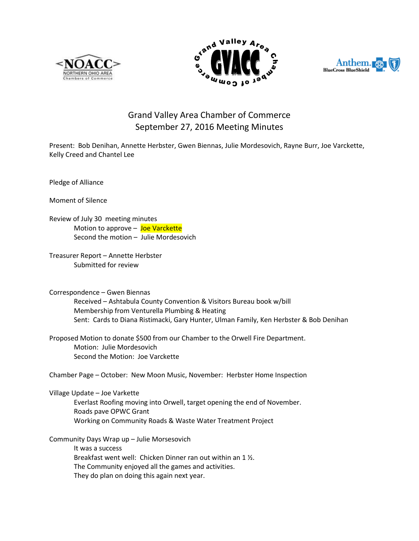





## Grand Valley Area Chamber of Commerce September 27, 2016 Meeting Minutes

Present: Bob Denihan, Annette Herbster, Gwen Biennas, Julie Mordesovich, Rayne Burr, Joe Varckette, Kelly Creed and Chantel Lee

Pledge of Alliance

Moment of Silence

Review of July 30 meeting minutes Motion to approve - Joe Varckette Second the motion – Julie Mordesovich

Treasurer Report – Annette Herbster Submitted for review

Correspondence – Gwen Biennas Received – Ashtabula County Convention & Visitors Bureau book w/bill Membership from Venturella Plumbing & Heating Sent: Cards to Diana Ristimacki, Gary Hunter, Ulman Family, Ken Herbster & Bob Denihan

Proposed Motion to donate \$500 from our Chamber to the Orwell Fire Department. Motion: Julie Mordesovich Second the Motion: Joe Varckette

Chamber Page – October: New Moon Music, November: Herbster Home Inspection

Village Update – Joe Varkette Everlast Roofing moving into Orwell, target opening the end of November. Roads pave OPWC Grant Working on Community Roads & Waste Water Treatment Project

Community Days Wrap up – Julie Morsesovich

It was a success Breakfast went well: Chicken Dinner ran out within an 1 ½. The Community enjoyed all the games and activities. They do plan on doing this again next year.